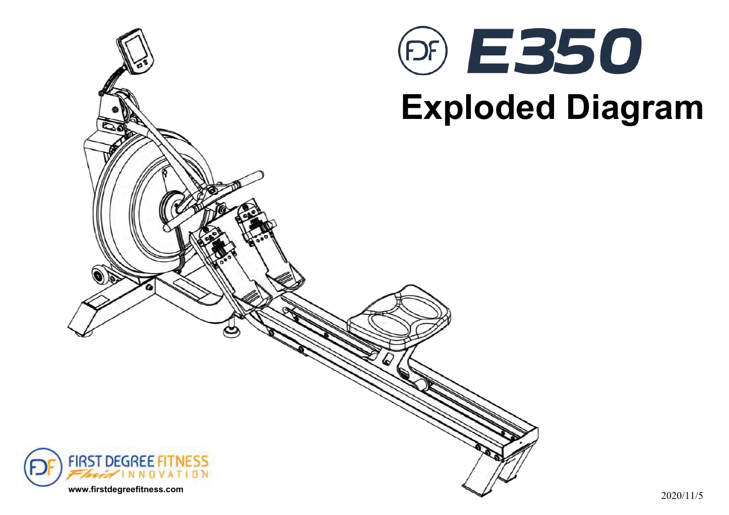



# **Exploded Diagram**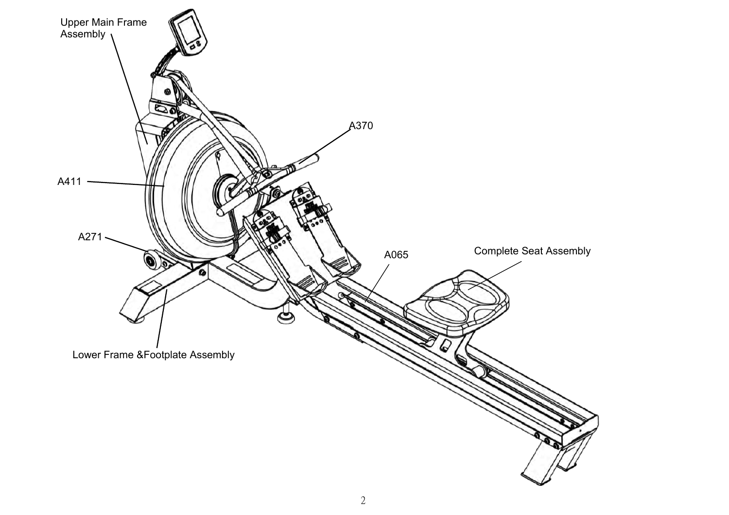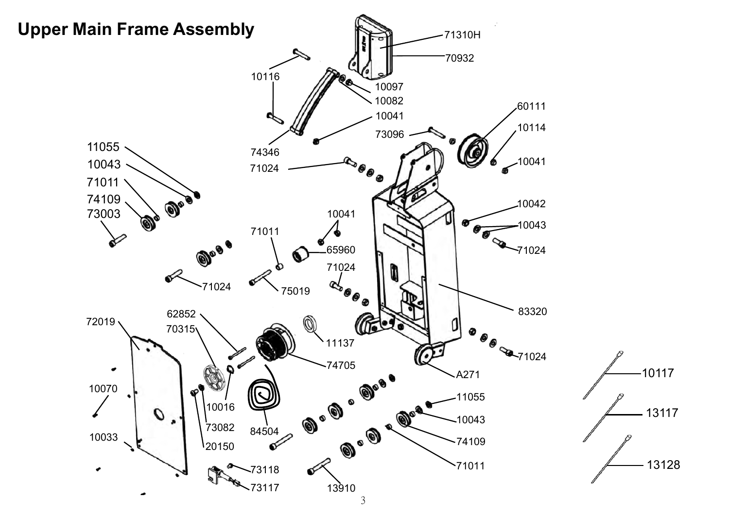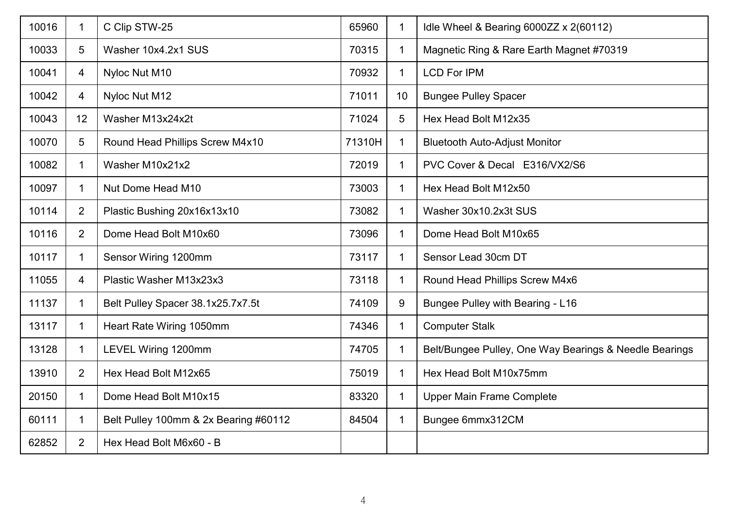| 10016 | $\mathbf 1$    | C Clip STW-25                         | 65960  | 1            | Idle Wheel & Bearing 6000ZZ x 2(60112)                 |
|-------|----------------|---------------------------------------|--------|--------------|--------------------------------------------------------|
| 10033 | 5              | Washer 10x4.2x1 SUS                   | 70315  | $\mathbf 1$  | Magnetic Ring & Rare Earth Magnet #70319               |
| 10041 | 4              | Nyloc Nut M10                         | 70932  | $\mathbf 1$  | <b>LCD For IPM</b>                                     |
| 10042 | $\overline{4}$ | Nyloc Nut M12                         | 71011  | 10           | <b>Bungee Pulley Spacer</b>                            |
| 10043 | 12             | Washer M13x24x2t                      | 71024  | 5            | Hex Head Bolt M12x35                                   |
| 10070 | 5              | Round Head Phillips Screw M4x10       | 71310H | 1            | <b>Bluetooth Auto-Adjust Monitor</b>                   |
| 10082 | 1              | Washer M10x21x2                       | 72019  | 1            | PVC Cover & Decal E316/VX2/S6                          |
| 10097 | 1              | Nut Dome Head M10                     | 73003  | 1            | Hex Head Bolt M12x50                                   |
| 10114 | $\overline{2}$ | Plastic Bushing 20x16x13x10           | 73082  | 1            | Washer 30x10.2x3t SUS                                  |
| 10116 | $\overline{2}$ | Dome Head Bolt M10x60                 | 73096  | $\mathbf 1$  | Dome Head Bolt M10x65                                  |
| 10117 | -1             | Sensor Wiring 1200mm                  | 73117  | $\mathbf 1$  | Sensor Lead 30cm DT                                    |
| 11055 | $\overline{4}$ | Plastic Washer M13x23x3               | 73118  | $\mathbf 1$  | Round Head Phillips Screw M4x6                         |
| 11137 | -1             | Belt Pulley Spacer 38.1x25.7x7.5t     | 74109  | 9            | <b>Bungee Pulley with Bearing - L16</b>                |
| 13117 | $\mathbf 1$    | Heart Rate Wiring 1050mm              | 74346  | $\mathbf{1}$ | <b>Computer Stalk</b>                                  |
| 13128 | $\mathbf 1$    | LEVEL Wiring 1200mm                   | 74705  | $\mathbf 1$  | Belt/Bungee Pulley, One Way Bearings & Needle Bearings |
| 13910 | $\overline{2}$ | Hex Head Bolt M12x65                  | 75019  | $\mathbf{1}$ | Hex Head Bolt M10x75mm                                 |
| 20150 | -1             | Dome Head Bolt M10x15                 | 83320  | $\mathbf 1$  | <b>Upper Main Frame Complete</b>                       |
| 60111 | $\mathbf 1$    | Belt Pulley 100mm & 2x Bearing #60112 | 84504  | $\mathbf 1$  | Bungee 6mmx312CM                                       |
| 62852 | $\overline{2}$ | Hex Head Bolt M6x60 - B               |        |              |                                                        |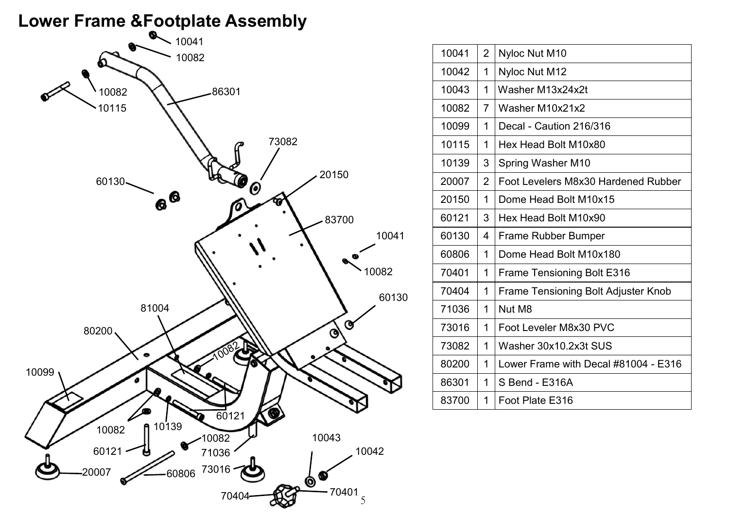# **Lower Frame &Footplate Assembly**



| 10041 | $\overline{2}$ | Nyloc Nut M10                              |  |
|-------|----------------|--------------------------------------------|--|
| 10042 | 1              | Nyloc Nut M12                              |  |
| 10043 | 1              | Washer M13x24x2t                           |  |
| 10082 | $\overline{7}$ | Washer M10x21x2                            |  |
| 10099 | 1              | Decal - Caution 216/316                    |  |
| 10115 | 1              | Hex Head Bolt M10x80                       |  |
| 10139 | 3              | Spring Washer M10                          |  |
| 20007 | $\overline{2}$ | Foot Levelers M8x30 Hardened Rubber        |  |
| 20150 | 1              | Dome Head Bolt M10x15                      |  |
| 60121 | 3              | Hex Head Bolt M10x90                       |  |
| 60130 | 4              | <b>Frame Rubber Bumper</b>                 |  |
| 60806 | 1              | Dome Head Bolt M10x180                     |  |
| 70401 | 1              | <b>Frame Tensioning Bolt E316</b>          |  |
| 70404 | 1              | <b>Frame Tensioning Bolt Adjuster Knob</b> |  |
| 71036 | 1              | Nut M8                                     |  |
| 73016 | 1              | Foot Leveler M8x30 PVC                     |  |
| 73082 | 1              | Washer 30x10.2x3t SUS                      |  |
| 80200 | 1              | Lower Frame with Decal #81004 - E316       |  |
| 86301 | 1              | S Bend - E316A                             |  |
| 83700 | 1              | Foot Plate E316                            |  |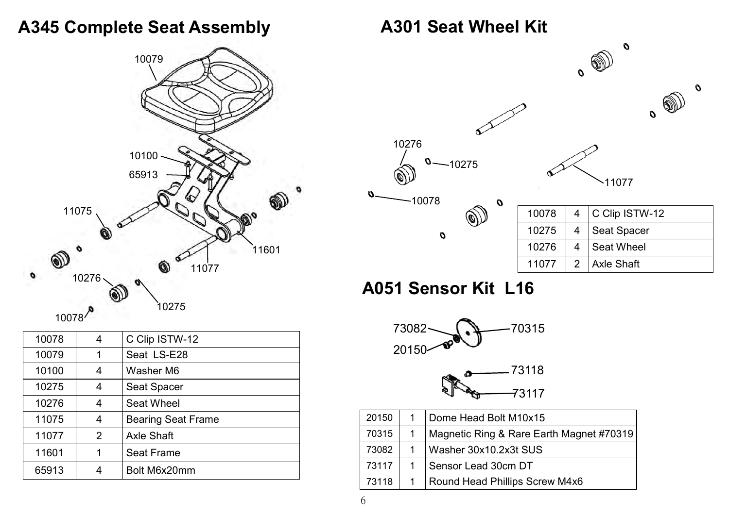#### **A345 Complete Seat Assembly**



| 10078 | 4 | C Clip ISTW-12            |
|-------|---|---------------------------|
| 10079 | 1 | Seat LS-E28               |
| 10100 | 4 | Washer M6                 |
| 10275 | 4 | <b>Seat Spacer</b>        |
| 10276 | 4 | <b>Seat Wheel</b>         |
| 11075 | 4 | <b>Bearing Seat Frame</b> |
| 11077 | 2 | <b>Axle Shaft</b>         |
| 11601 | 1 | <b>Seat Frame</b>         |
| 65913 | 4 | Bolt M6x20mm              |

#### **A301 Seat Wheel Kit**



## **A051 Sensor Kit L16**



| 20150 | Dome Head Bolt M10x15                    |
|-------|------------------------------------------|
| 70315 | Magnetic Ring & Rare Earth Magnet #70319 |
| 73082 | Washer 30x10.2x3t SUS                    |
| 73117 | Sensor Lead 30cm DT                      |
| 73118 | <b>Round Head Phillips Screw M4x6</b>    |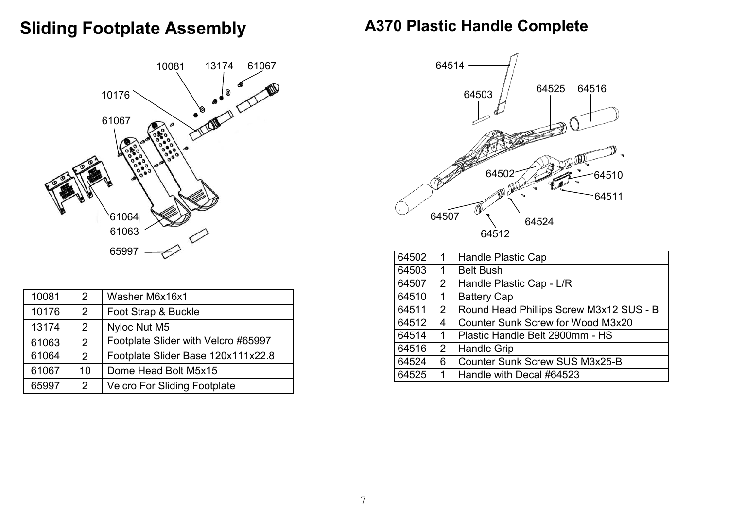## **Sliding Footplate Assembly**





| 10081 | 2              | Washer M6x16x1                      |
|-------|----------------|-------------------------------------|
| 10176 | 2              | Foot Strap & Buckle                 |
| 13174 | $2^{\circ}$    | Nyloc Nut M5                        |
| 61063 | $\mathcal{P}$  | Footplate Slider with Velcro #65997 |
| 61064 | 2              | Footplate Slider Base 120x111x22.8  |
| 61067 | 10             | Dome Head Bolt M5x15                |
| 65997 | $\overline{2}$ | <b>Velcro For Sliding Footplate</b> |



| 64502 |                           | <b>Handle Plastic Cap</b>               |  |  |
|-------|---------------------------|-----------------------------------------|--|--|
| 64503 | 1                         | <b>Belt Bush</b>                        |  |  |
| 64507 | $\overline{2}$            | Handle Plastic Cap - L/R                |  |  |
| 64510 | 1                         | <b>Battery Cap</b>                      |  |  |
| 64511 | $\overline{2}$            | Round Head Phillips Screw M3x12 SUS - B |  |  |
| 64512 | 4                         | Counter Sunk Screw for Wood M3x20       |  |  |
| 64514 | 1                         | Plastic Handle Belt 2900mm - HS         |  |  |
| 64516 | $\mathbf{2}^{\mathsf{I}}$ | <b>Handle Grip</b>                      |  |  |
| 64524 | 6                         | <b>Counter Sunk Screw SUS M3x25-B</b>   |  |  |
| 64525 | Handle with Decal #64523  |                                         |  |  |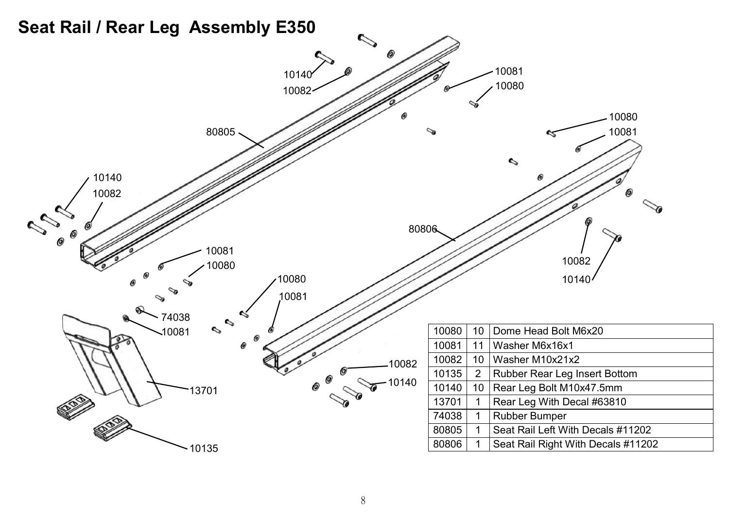#### **Seat Rail / Rear Leg Assembly E350**

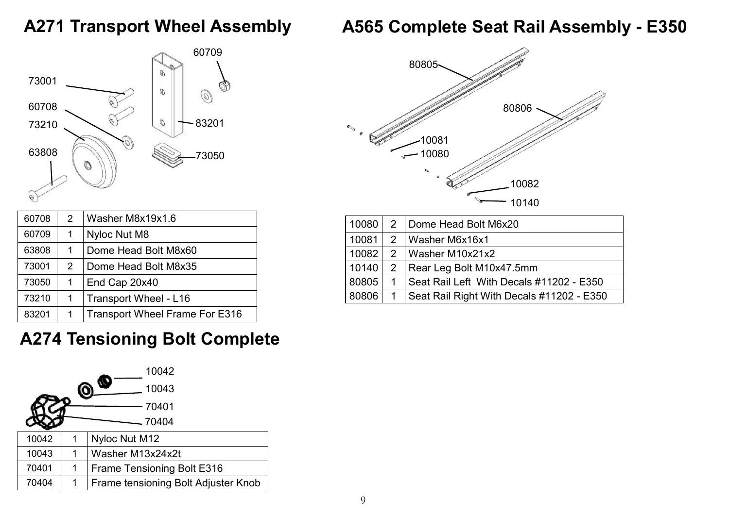## **A271 Transport Wheel Assembly**

## **A565 Complete Seat Rail Assembly - E350**



| 60708 | 2             | Washer M8x19x1.6                      |
|-------|---------------|---------------------------------------|
| 60709 | 1             | Nyloc Nut M8                          |
| 63808 | 1             | Dome Head Bolt M8x60                  |
| 73001 | $\mathcal{P}$ | Dome Head Bolt M8x35                  |
| 73050 | 1             | End Cap 20x40                         |
| 73210 | 1             | Transport Wheel - L16                 |
| 83201 | 1             | <b>Transport Wheel Frame For E316</b> |



|  | 10140 2 Rear Leg Bolt M10x47.5mm                      |
|--|-------------------------------------------------------|
|  | 80805   1   Seat Rail Left With Decals #11202 - E350  |
|  | 80806   1   Seat Rail Right With Decals #11202 - E350 |

# **A274 Tensioning Bolt Complete**

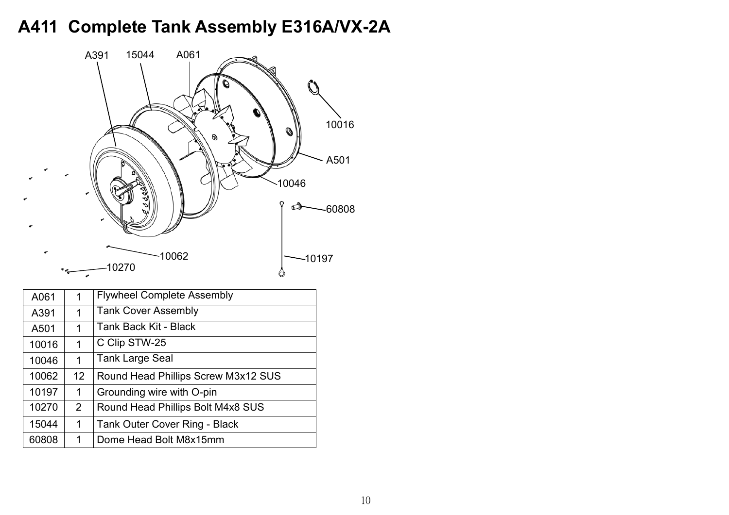# **A411 Complete Tank Assembly E316A/VX-2A**



| A061  | 1                 | <b>Flywheel Complete Assembly</b>   |
|-------|-------------------|-------------------------------------|
| A391  | 1                 | <b>Tank Cover Assembly</b>          |
| A501  | 1                 | Tank Back Kit - Black               |
| 10016 | 1                 | C Clip STW-25                       |
| 10046 | 1                 | <b>Tank Large Seal</b>              |
|       |                   |                                     |
| 10062 | $12 \overline{ }$ | Round Head Phillips Screw M3x12 SUS |
| 10197 | $\mathbf 1$       | Grounding wire with O-pin           |
| 10270 | $\overline{2}$    | Round Head Phillips Bolt M4x8 SUS   |
| 15044 | $\mathbf 1$       | Tank Outer Cover Ring - Black       |
| 60808 | 1                 | Dome Head Bolt M8x15mm              |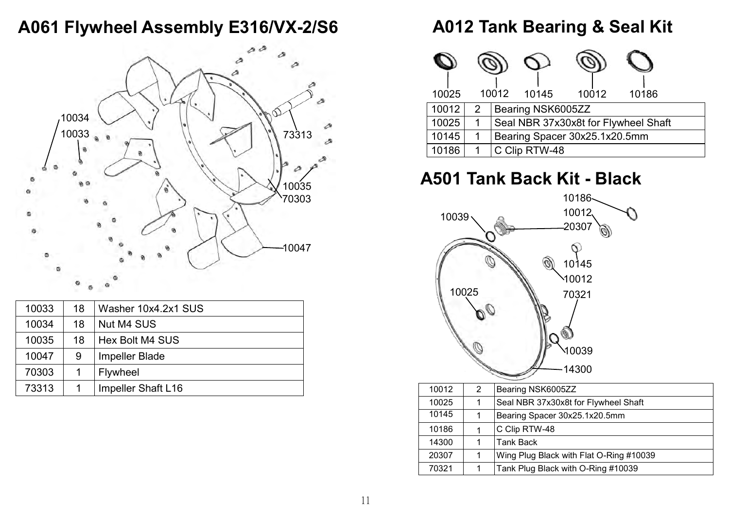#### **A061 Flywheel Assembly E316/VX-2/S6**



| 10033 | 18 | Washer 10x4.2x1 SUS   |
|-------|----|-----------------------|
| 10034 | 18 | Nut M4 SUS            |
| 10035 | 18 | Hex Bolt M4 SUS       |
| 10047 | 9  | <b>Impeller Blade</b> |
| 70303 |    | Flywheel              |
| 73313 |    | Impeller Shaft L16    |

#### **A012 Tank Bearing & Seal Kit**

| 10025 |   | 10012 | 10145             | 10012                         | 10186                                |  |
|-------|---|-------|-------------------|-------------------------------|--------------------------------------|--|
| 10012 | 2 |       | Bearing NSK6005ZZ |                               |                                      |  |
| 10025 | 1 |       |                   |                               | Seal NBR 37x30x8t for Flywheel Shaft |  |
| 10145 | 1 |       |                   | Bearing Spacer 30x25.1x20.5mm |                                      |  |
| 10186 |   |       | C Clip RTW-48     |                               |                                      |  |

# **A501 Tank Back Kit - Black**

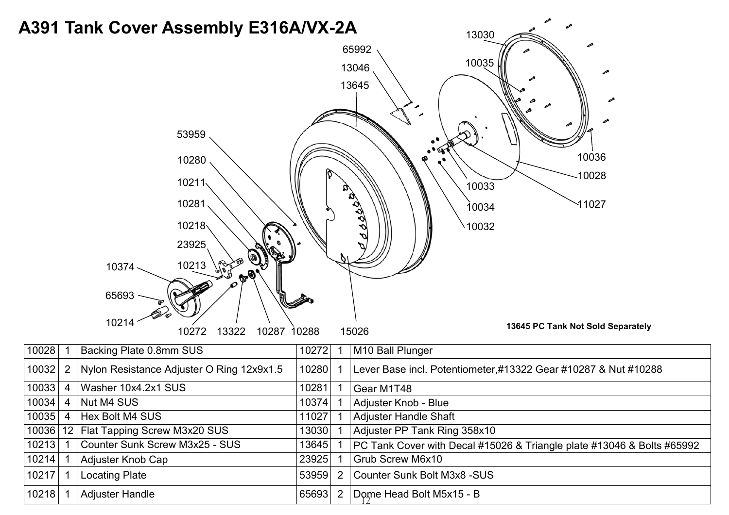